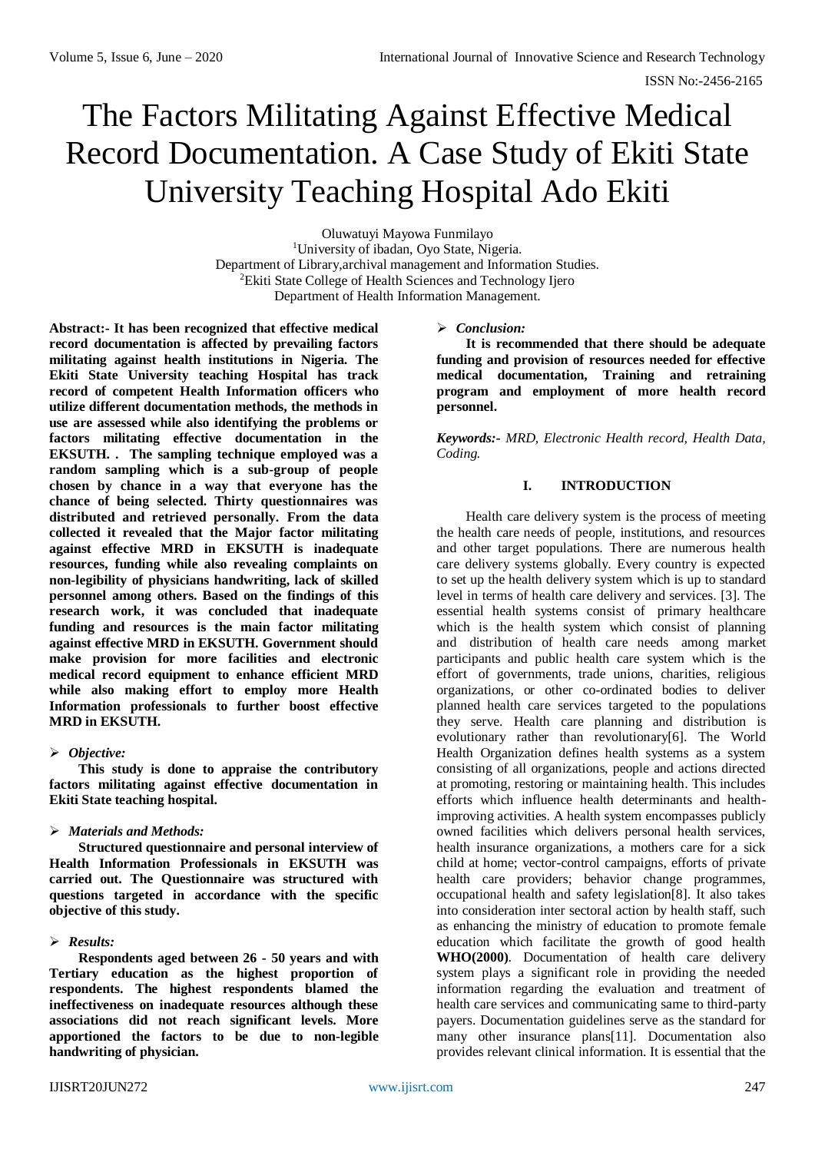# The Factors Militating Against Effective Medical Record Documentation. A Case Study of Ekiti State University Teaching Hospital Ado Ekiti

Oluwatuyi Mayowa Funmilayo <sup>1</sup>University of ibadan, Oyo State, Nigeria. Department of Library,archival management and Information Studies. <sup>2</sup>Ekiti State College of Health Sciences and Technology Ijero Department of Health Information Management.

**Abstract:- It has been recognized that effective medical record documentation is affected by prevailing factors militating against health institutions in Nigeria. The Ekiti State University teaching Hospital has track record of competent Health Information officers who utilize different documentation methods, the methods in use are assessed while also identifying the problems or factors militating effective documentation in the EKSUTH. . The sampling technique employed was a random sampling which is a sub-group of people chosen by chance in a way that everyone has the chance of being selected. Thirty questionnaires was distributed and retrieved personally. From the data collected it revealed that the Major factor militating against effective MRD in EKSUTH is inadequate resources, funding while also revealing complaints on non-legibility of physicians handwriting, lack of skilled personnel among others. Based on the findings of this research work, it was concluded that inadequate funding and resources is the main factor militating against effective MRD in EKSUTH. Government should make provision for more facilities and electronic medical record equipment to enhance efficient MRD while also making effort to employ more Health Information professionals to further boost effective MRD in EKSUTH.**

## *Objective:*

**This study is done to appraise the contributory factors militating against effective documentation in Ekiti State teaching hospital.**

## *Materials and Methods:*

**Structured questionnaire and personal interview of Health Information Professionals in EKSUTH was carried out. The Questionnaire was structured with questions targeted in accordance with the specific objective of this study.** 

## *Results:*

**Respondents aged between 26 - 50 years and with Tertiary education as the highest proportion of respondents. The highest respondents blamed the ineffectiveness on inadequate resources although these associations did not reach significant levels. More apportioned the factors to be due to non-legible handwriting of physician.**

#### *Conclusion:*

**It is recommended that there should be adequate funding and provision of resources needed for effective medical documentation, Training and retraining program and employment of more health record personnel.**

*Keywords:- MRD, Electronic Health record, Health Data, Coding.*

# **I. INTRODUCTION**

Health care delivery system is the process of meeting the health care needs of people, institutions, and resources and other target populations. There are numerous health care delivery systems globally. Every country is expected to set up the health delivery system which is up to standard level in terms of health care delivery and services. [3]. The essential health systems consist of primary healthcare which is the health system which consist of planning and distribution of health care needs among market participants and public health care system which is the effort of governments, trade unions, charities, religious organizations, or other co-ordinated bodies to deliver planned health care services targeted to the populations they serve. Health care planning and distribution is evolutionary rather than revolutionary[6]. The World Health Organization defines health systems as a system consisting of all organizations, people and actions directed at promoting, restoring or maintaining health. This includes efforts which influence health determinants and healthimproving activities. A health system encompasses publicly owned facilities which delivers personal health services, health insurance organizations, a mothers care for a sick child at home; vector-control campaigns, efforts of private health care providers; behavior change programmes, occupational health and safety legislation[8]. It also takes into consideration inter sectoral action by health staff, such as enhancing the ministry of education to promote female education which facilitate the growth of good health **WHO(2000)**. Documentation of health care delivery system plays a significant role in providing the needed information regarding the evaluation and treatment of health care services and communicating same to third-party payers. Documentation guidelines serve as the standard for many other insurance plans[11]. Documentation also provides relevant clinical information. It is essential that the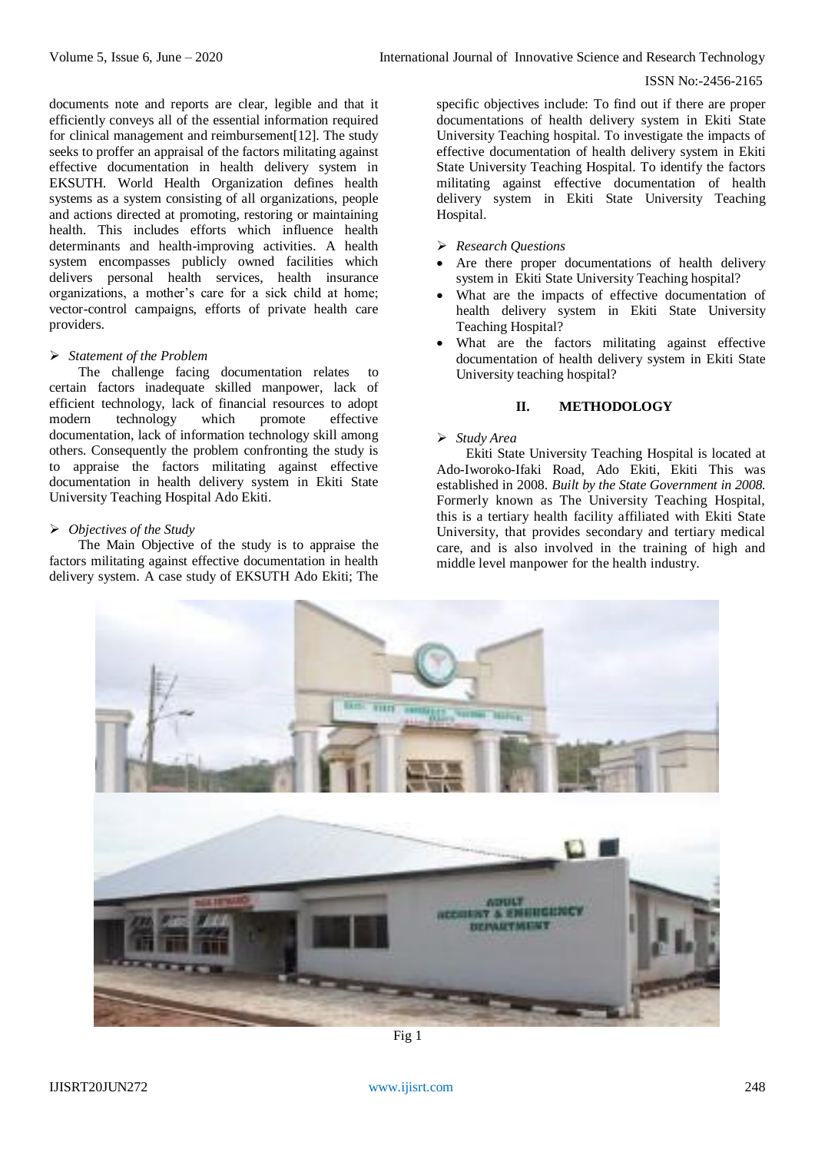#### ISSN No:-2456-2165

documents note and reports are clear, legible and that it efficiently conveys all of the essential information required for clinical management and reimbursement[12]. The study seeks to proffer an appraisal of the factors militating against effective documentation in health delivery system in EKSUTH. World Health Organization defines health systems as a system consisting of all organizations, people and actions directed at promoting, restoring or maintaining health. This includes efforts which influence health determinants and health-improving activities. A health system encompasses publicly owned facilities which delivers personal health services, health insurance organizations, a mother's care for a sick child at home; vector-control campaigns, efforts of private health care providers.

#### *Statement of the Problem*

The challenge facing documentation relates certain factors inadequate skilled manpower, lack of efficient technology, lack of financial resources to adopt<br>modern technology which promote effective modern technology which promote effective documentation, lack of information technology skill among others. Consequently the problem confronting the study is to appraise the factors militating against effective documentation in health delivery system in Ekiti State University Teaching Hospital Ado Ekiti.

## *Objectives of the Study*

The Main Objective of the study is to appraise the factors militating against effective documentation in health delivery system. A case study of EKSUTH Ado Ekiti; The

specific objectives include: To find out if there are proper documentations of health delivery system in Ekiti State University Teaching hospital. To investigate the impacts of effective documentation of health delivery system in Ekiti State University Teaching Hospital. To identify the factors militating against effective documentation of health delivery system in Ekiti State University Teaching Hospital.

- *Research Questions*
- Are there proper documentations of health delivery system in Ekiti State University Teaching hospital?
- What are the impacts of effective documentation of health delivery system in Ekiti State University Teaching Hospital?
- What are the factors militating against effective documentation of health delivery system in Ekiti State University teaching hospital?

#### **II. METHODOLOGY**

## *Study Area*

Ekiti State University Teaching Hospital is located at Ado-Iworoko-Ifaki Road, Ado Ekiti, Ekiti This was established in 2008. *Built by the State Government in 2008.* Formerly known as The University Teaching Hospital, this is a tertiary health facility affiliated with Ekiti State University, that provides secondary and tertiary medical care, and is also involved in the training of high and middle level manpower for the health industry.



Fig 1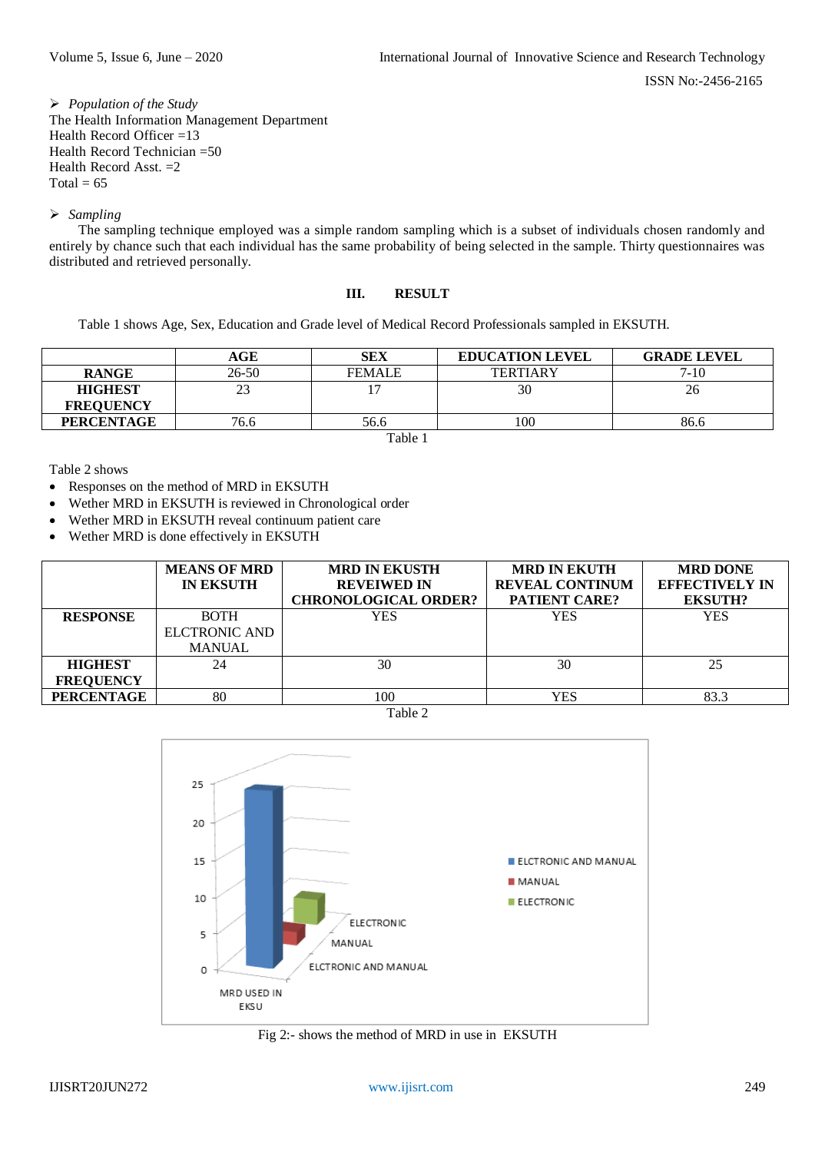*Population of the Study* The Health Information Management Department Health Record Officer =13 Health Record Technician =50 Health Record Asst. =2 Total =  $65$ 

*Sampling*

The sampling technique employed was a simple random sampling which is a subset of individuals chosen randomly and entirely by chance such that each individual has the same probability of being selected in the sample. Thirty questionnaires was distributed and retrieved personally.

# **III. RESULT**

Table 1 shows Age, Sex, Education and Grade level of Medical Record Professionals sampled in EKSUTH.

|                   | AGE       | <b>SEX</b>    | <b>EDUCATION LEVEL</b> | <b>GRADE LEVEL</b> |  |  |
|-------------------|-----------|---------------|------------------------|--------------------|--|--|
| <b>RANGE</b>      | $26 - 50$ | <b>FEMALE</b> | <b>TERTIARY</b>        | $7 - 10$           |  |  |
| <b>HIGHEST</b>    | 23        |               | 30                     | 26                 |  |  |
| <b>FREOUENCY</b>  |           |               |                        |                    |  |  |
| <b>PERCENTAGE</b> | 76.6      | 56.6          | 100                    | 86.6               |  |  |
| .                 |           |               |                        |                    |  |  |

Table 1

Table 2 shows

- Responses on the method of MRD in EKSUTH
- Wether MRD in EKSUTH is reviewed in Chronological order
- Wether MRD in EKSUTH reveal continuum patient care
- Wether MRD is done effectively in EKSUTH

|                   | <b>MEANS OF MRD</b><br><b>IN EKSUTH</b> | <b>MRD IN EKUSTH</b><br><b>REVEIWED IN</b><br><b>CHRONOLOGICAL ORDER?</b> | <b>MRD IN EKUTH</b><br><b>REVEAL CONTINUM</b><br><b>PATIENT CARE?</b> | <b>MRD DONE</b><br><b>EFFECTIVELY IN</b><br><b>EKSUTH?</b> |
|-------------------|-----------------------------------------|---------------------------------------------------------------------------|-----------------------------------------------------------------------|------------------------------------------------------------|
| <b>RESPONSE</b>   | <b>BOTH</b>                             | <b>YES</b>                                                                | <b>YES</b>                                                            | <b>YES</b>                                                 |
|                   | ELCTRONIC AND                           |                                                                           |                                                                       |                                                            |
|                   | <b>MANUAL</b>                           |                                                                           |                                                                       |                                                            |
| <b>HIGHEST</b>    | 24                                      | 30                                                                        | 30                                                                    | 25                                                         |
| <b>FREQUENCY</b>  |                                         |                                                                           |                                                                       |                                                            |
| <b>PERCENTAGE</b> | 80                                      | 100                                                                       | YES                                                                   | 83.3                                                       |

Table 2



Fig 2:- shows the method of MRD in use in EKSUTH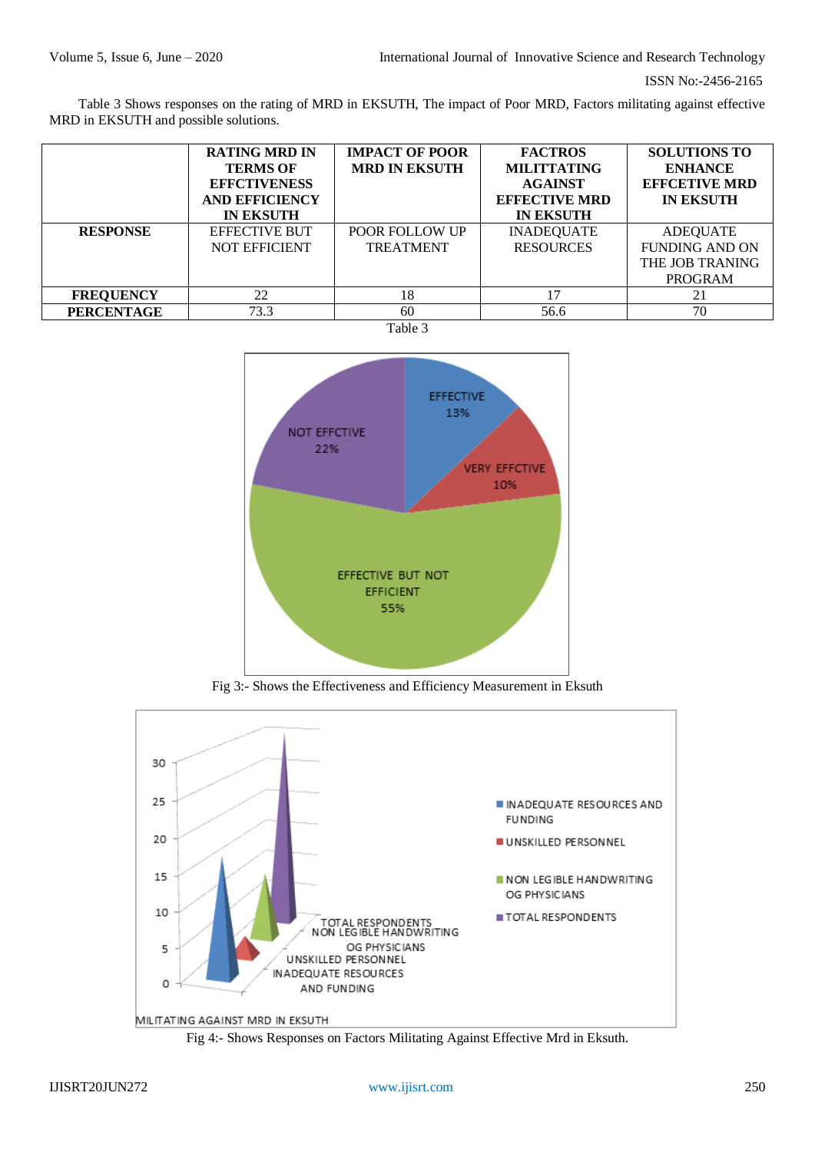Table 3 Shows responses on the rating of MRD in EKSUTH, The impact of Poor MRD, Factors militating against effective MRD in EKSUTH and possible solutions.

|                   | <b>RATING MRD IN</b><br><b>TERMS OF</b><br><b>EFFCTIVENESS</b><br><b>AND EFFICIENCY</b><br><b>IN EKSUTH</b> | <b>IMPACT OF POOR</b><br><b>MRD IN EKSUTH</b> | <b>FACTROS</b><br><b>MILITTATING</b><br><b>AGAINST</b><br><b>EFFECTIVE MRD</b><br><b>IN EKSUTH</b> | <b>SOLUTIONS TO</b><br><b>ENHANCE</b><br><b>EFFCETIVE MRD</b><br><b>IN EKSUTH</b> |
|-------------------|-------------------------------------------------------------------------------------------------------------|-----------------------------------------------|----------------------------------------------------------------------------------------------------|-----------------------------------------------------------------------------------|
| <b>RESPONSE</b>   | <b>EFFECTIVE BUT</b>                                                                                        | <b>POOR FOLLOW UP</b>                         | <b>INADEQUATE</b>                                                                                  | <b>ADEQUATE</b>                                                                   |
|                   | <b>NOT EFFICIENT</b>                                                                                        | <b>TREATMENT</b>                              | <b>RESOURCES</b>                                                                                   | <b>FUNDING AND ON</b>                                                             |
|                   |                                                                                                             |                                               |                                                                                                    | THE JOB TRANING                                                                   |
|                   |                                                                                                             |                                               |                                                                                                    | <b>PROGRAM</b>                                                                    |
| <b>FREQUENCY</b>  | 22                                                                                                          | 18                                            | 17                                                                                                 |                                                                                   |
| <b>PERCENTAGE</b> | 73.3                                                                                                        | 60                                            | 56.6                                                                                               | 70                                                                                |





Fig 3:- Shows the Effectiveness and Efficiency Measurement in Eksuth



Fig 4:- Shows Responses on Factors Militating Against Effective Mrd in Eksuth.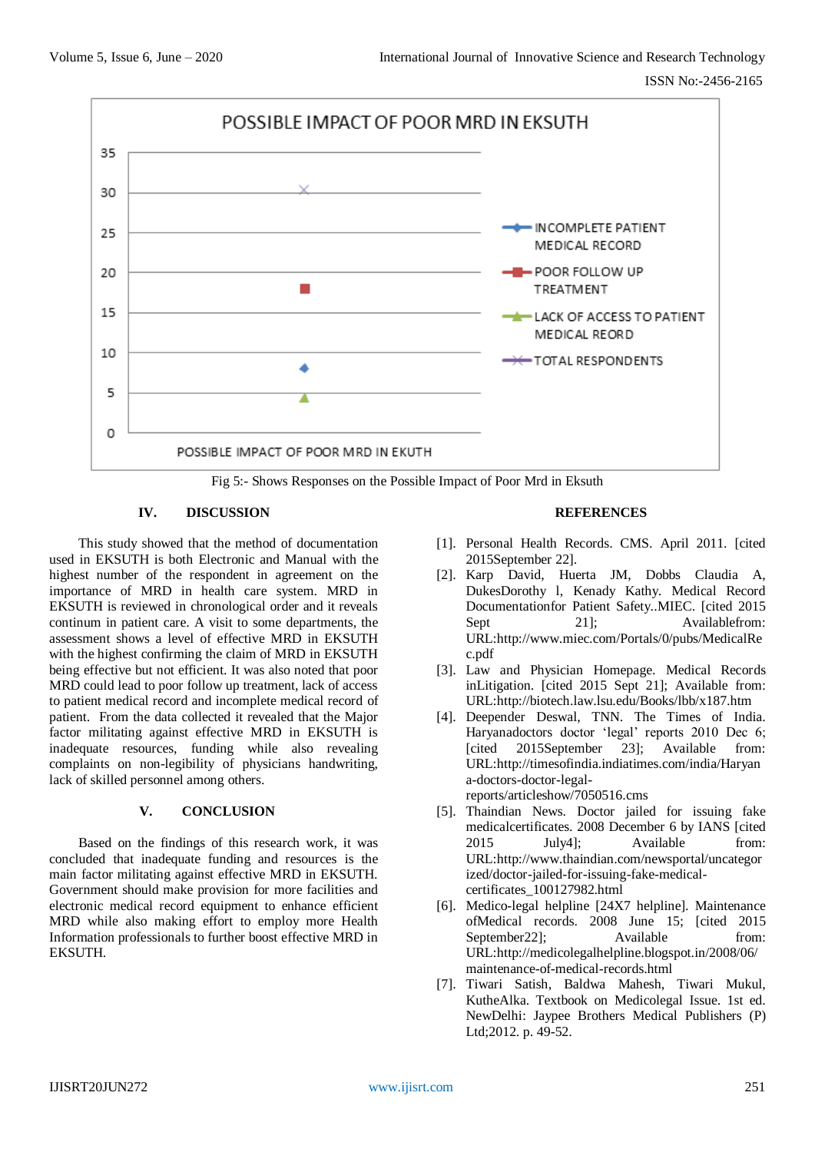

Fig 5:- Shows Responses on the Possible Impact of Poor Mrd in Eksuth

# **IV. DISCUSSION**

This study showed that the method of documentation used in EKSUTH is both Electronic and Manual with the highest number of the respondent in agreement on the importance of MRD in health care system. MRD in EKSUTH is reviewed in chronological order and it reveals continum in patient care. A visit to some departments, the assessment shows a level of effective MRD in EKSUTH with the highest confirming the claim of MRD in EKSUTH being effective but not efficient. It was also noted that poor MRD could lead to poor follow up treatment, lack of access to patient medical record and incomplete medical record of patient. From the data collected it revealed that the Major factor militating against effective MRD in EKSUTH is inadequate resources, funding while also revealing complaints on non-legibility of physicians handwriting, lack of skilled personnel among others.

## **V. CONCLUSION**

Based on the findings of this research work, it was concluded that inadequate funding and resources is the main factor militating against effective MRD in EKSUTH. Government should make provision for more facilities and electronic medical record equipment to enhance efficient MRD while also making effort to employ more Health Information professionals to further boost effective MRD in EKSUTH.

#### **REFERENCES**

- [1]. Personal Health Records. CMS. April 2011. [cited 2015September 22].
- [2]. Karp David, Huerta JM, Dobbs Claudia A, DukesDorothy l, Kenady Kathy. Medical Record Documentationfor Patient Safety..MIEC. [cited 2015 Sept 21]: Availablefrom: URL:http://www.miec.com/Portals/0/pubs/MedicalRe c.pdf
- [3]. Law and Physician Homepage. Medical Records inLitigation. [cited 2015 Sept 21]; Available from: URL:http://biotech.law.lsu.edu/Books/lbb/x187.htm
- [4]. Deepender Deswal, TNN. The Times of India. Haryanadoctors doctor 'legal' reports 2010 Dec 6; [cited 2015September 23]; Available from: URL:http://timesofindia.indiatimes.com/india/Haryan a-doctors-doctor-legalreports/articleshow/7050516.cms
- [5]. Thaindian News. Doctor jailed for issuing fake medicalcertificates. 2008 December 6 by IANS [cited 2015 July4]; Available from: URL:http://www.thaindian.com/newsportal/uncategor ized/doctor-jailed-for-issuing-fake-medicalcertificates\_100127982.html
- [6]. Medico-legal helpline [24X7 helpline]. Maintenance ofMedical records. 2008 June 15; [cited 2015 September 221: Available from: URL:http://medicolegalhelpline.blogspot.in/2008/06/ maintenance-of-medical-records.html
- [7]. Tiwari Satish, Baldwa Mahesh, Tiwari Mukul, KutheAlka. Textbook on Medicolegal Issue. 1st ed. NewDelhi: Jaypee Brothers Medical Publishers (P) Ltd:2012. p. 49-52.